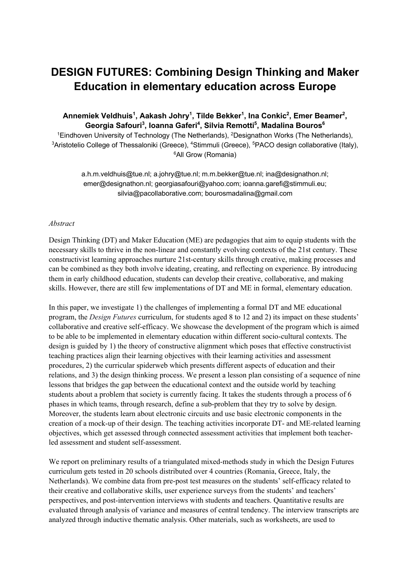## **DESIGN FUTURES: Combining Design Thinking and Maker Education in elementary education across Europe**

## Annemiek Veldhuis<sup>1</sup>, Aakash Johry<sup>1</sup>, Tilde Bekker<sup>1</sup>, Ina Conkic<sup>2</sup>, Emer Beamer<sup>2</sup>,  $\mathbf G$ eorgia Safouri $^3$ , Ioanna Gaferi $^4$ , Silvia Remotti $^5$ , Madalina Bouros $^6$

<sup>1</sup>Eindhoven University of Technology (The Netherlands), <sup>2</sup>Designathon Works (The Netherlands), <sup>3</sup>Aristotelio College of Thessaloniki (Greece), <sup>4</sup>Stimmuli (Greece), <sup>5</sup>PACO design collaborative (Italy), <sup>6</sup>All Grow (Romania)

a.h.m.veldhuis@tue.nl; a.johry@tue.nl; m.m.bekker@tue.nl; ina@designathon.nl; emer@designathon.nl; georgiasafouri@yahoo.com; ioanna.garefi@stimmuli.eu; silvia@pacollaborative.com; bourosmadalina@gmail.com

## *Abstract*

Design Thinking (DT) and Maker Education (ME) are pedagogies that aim to equip students with the necessary skills to thrive in the non-linear and constantly evolving contexts of the 21st century. These constructivist learning approaches nurture 21st-century skills through creative, making processes and can be combined as they both involve ideating, creating, and reflecting on experience. By introducing them in early childhood education, students can develop their creative, collaborative, and making skills. However, there are still few implementations of DT and ME in formal, elementary education.

In this paper, we investigate 1) the challenges of implementing a formal DT and ME educational program, the *Design Futures* curriculum, for students aged 8 to 12 and 2) its impact on these students' collaborative and creative self-efficacy. We showcase the development of the program which is aimed to be able to be implemented in elementary education within different socio-cultural contexts. The design is guided by 1) the theory of constructive alignment which poses that effective constructivist teaching practices align their learning objectives with their learning activities and assessment procedures, 2) the curricular spiderweb which presents different aspects of education and their relations, and 3) the design thinking process. We present a lesson plan consisting of a sequence of nine lessons that bridges the gap between the educational context and the outside world by teaching students about a problem that society is currently facing. It takes the students through a process of 6 phases in which teams, through research, define a sub-problem that they try to solve by design. Moreover, the students learn about electronic circuits and use basic electronic components in the creation of a mock-up of their design. The teaching activities incorporate DT- and ME-related learning objectives, which get assessed through connected assessment activities that implement both teacherled assessment and student self-assessment.

We report on preliminary results of a triangulated mixed-methods study in which the Design Futures curriculum gets tested in 20 schools distributed over 4 countries (Romania, Greece, Italy, the Netherlands). We combine data from pre-post test measures on the students' self-efficacy related to their creative and collaborative skills, user experience surveys from the students' and teachers' perspectives, and post-intervention interviews with students and teachers. Quantitative results are evaluated through analysis of variance and measures of central tendency. The interview transcripts are analyzed through inductive thematic analysis. Other materials, such as worksheets, are used to